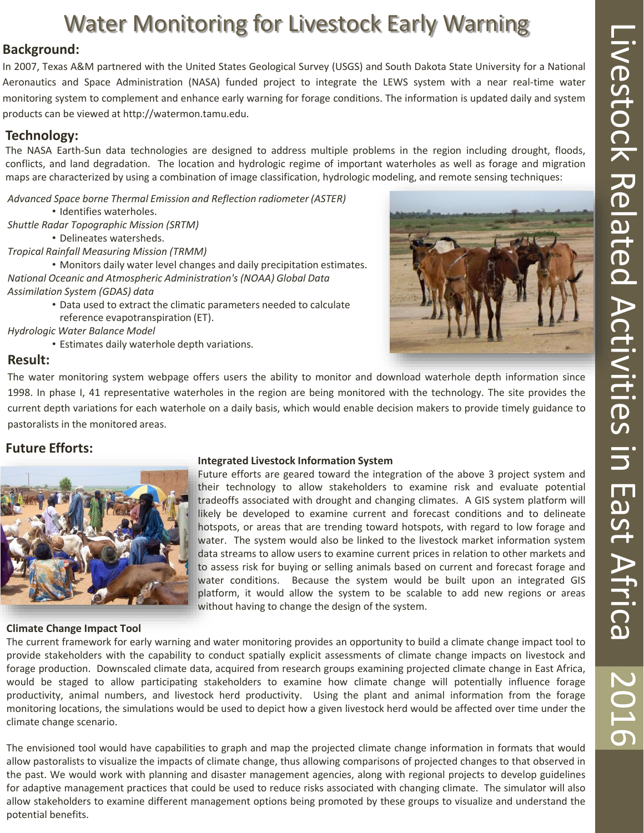# Water Monitoring for Livestock Early Warning

## **Background:**

In 2007, Texas A&M partnered with the United States Geological Survey (USGS) and South Dakota State University for a National Aeronautics and Space Administration (NASA) funded project to integrate the LEWS system with a near real-time water monitoring system to complement and enhance early warning for forage conditions. The information is updated daily and system products can be viewed at http://watermon.tamu.edu.

## **Technology:**

The NASA Earth-Sun data technologies are designed to address multiple problems in the region including drought, floods, conflicts, and land degradation. The location and hydrologic regime of important waterholes as well as forage and migration maps are characterized by using a combination of image classification, hydrologic modeling, and remote sensing techniques:

*Advanced Space borne Thermal Emission and Reflection radiometer (ASTER)* 

- Identifies waterholes.
- *Shuttle Radar Topographic Mission (SRTM)* 
	- Delineates watersheds.
- *Tropical Rainfall Measuring Mission (TRMM)*

• Monitors daily water level changes and daily precipitation estimates. *National Oceanic and Atmospheric Administration's (NOAA) Global Data Assimilation System (GDAS) data*

• Data used to extract the climatic parameters needed to calculate reference evapotranspiration (ET).

*Hydrologic Water Balance Model*

• Estimates daily waterhole depth variations.

### **Result:**

The water monitoring system webpage offers users the ability to monitor and download waterhole depth information since 1998. In phase I, 41 representative waterholes in the region are being monitored with the technology. The site provides the current depth variations for each waterhole on a daily basis, which would enable decision makers to provide timely guidance to pastoralists in the monitored areas.

## **Future Efforts:**



### **Climate Change Impact Tool**

#### **Integrated Livestock Information System**

Future efforts are geared toward the integration of the above 3 project system and their technology to allow stakeholders to examine risk and evaluate potential tradeoffs associated with drought and changing climates. A GIS system platform will likely be developed to examine current and forecast conditions and to delineate hotspots, or areas that are trending toward hotspots, with regard to low forage and water. The system would also be linked to the livestock market information system data streams to allow users to examine current prices in relation to other markets and to assess risk for buying or selling animals based on current and forecast forage and water conditions. Because the system would be built upon an integrated GIS platform, it would allow the system to be scalable to add new regions or areas without having to change the design of the system.

The current framework for early warning and water monitoring provides an opportunity to build a climate change impact tool to provide stakeholders with the capability to conduct spatially explicit assessments of climate change impacts on livestock and forage production. Downscaled climate data, acquired from research groups examining projected climate change in East Africa, would be staged to allow participating stakeholders to examine how climate change will potentially influence forage productivity, animal numbers, and livestock herd productivity. Using the plant and animal information from the forage monitoring locations, the simulations would be used to depict how a given livestock herd would be affected over time under the climate change scenario.

The envisioned tool would have capabilities to graph and map the projected climate change information in formats that would allow pastoralists to visualize the impacts of climate change, thus allowing comparisons of projected changes to that observed in the past. We would work with planning and disaster management agencies, along with regional projects to develop guidelines for adaptive management practices that could be used to reduce risks associated with changing climate. The simulator will also allow stakeholders to examine different management options being promoted by these groups to visualize and understand the potential benefits.